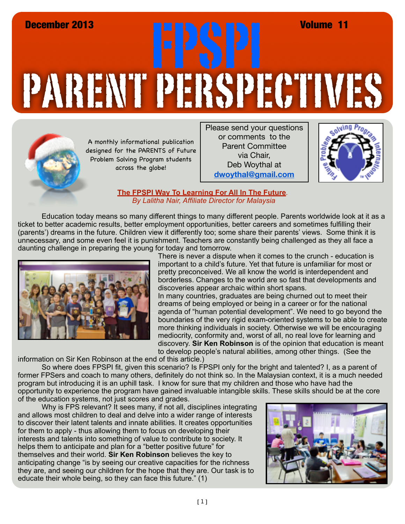## PARENT PERSPECTIVES December 2013 FPSPI Volume 11



A monthly informational publication designed for the PARENTS of Future Problem Solving Program students across the globe!

Please send your questions or comments to the Parent Committee via Chair, Deb Woythal at **dwoythal@gmail.com**



## **The FPSPI Way To Learning For All In The Future***. By Lalitha Nair, Affiliate Director for Malaysia*

Education today means so many different things to many different people. Parents worldwide look at it as a ticket to better academic results, better employment opportunities, better careers and sometimes fulfilling their (parents') dreams in the future. Children view it differently too; some share their parents' views. Some think it is unnecessary, and some even feel it is punishment. Teachers are constantly being challenged as they all face a daunting challenge in preparing the young for today and tomorrow.



There is never a dispute when it comes to the crunch - education is important to a child's future. Yet that future is unfamiliar for most or pretty preconceived. We all know the world is interdependent and borderless. Changes to the world are so fast that developments and discoveries appear archaic within short spans.

In many countries, graduates are being churned out to meet their dreams of being employed or being in a career or for the national agenda of "human potential development". We need to go beyond the boundaries of the very rigid exam-oriented systems to be able to create more thinking individuals in society. Otherwise we will be encouraging mediocrity, conformity and, worst of all, no real love for learning and discovery. **Sir Ken Robinson** is of the opinion that education is meant to develop people's natural abilities, among other things. (See the

information on Sir Ken Robinson at the end of this article.)

So where does FPSPI fit, given this scenario? Is FPSPI only for the bright and talented? I, as a parent of former FPSers and coach to many others, definitely do not think so. In the Malaysian context, it is a much needed program but introducing it is an uphill task. I know for sure that my children and those who have had the opportunity to experience the program have gained invaluable intangible skills. These skills should be at the core of the education systems, not just scores and grades.

Why is FPS relevant? It sees many, if not all, disciplines integrating and allows most children to deal and delve into a wider range of interests to discover their latent talents and innate abilities. It creates opportunities for them to apply - thus allowing them to focus on developing their interests and talents into something of value to contribute to society. It helps them to anticipate and plan for a "better positive future" for themselves and their world. **Sir Ken Robinson** believes the key to anticipating change "is by seeing our creative capacities for the richness they are, and seeing our children for the hope that they are. Our task is to educate their whole being, so they can face this future." (1)